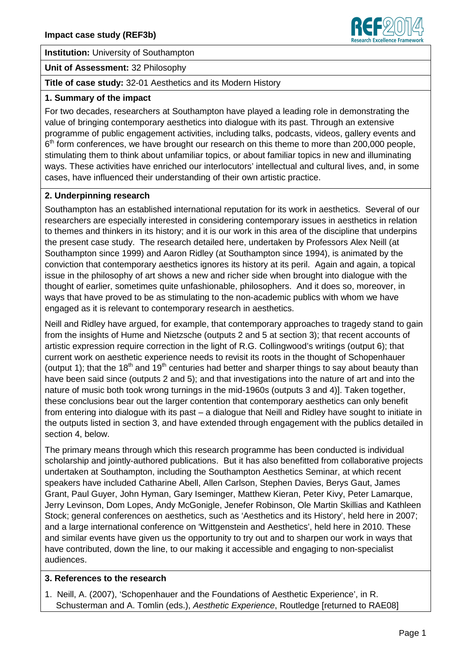

**Institution:** University of Southampton

**Unit of Assessment:** 32 Philosophy

# **Title of case study:** 32-01 Aesthetics and its Modern History

### **1. Summary of the impact**

For two decades, researchers at Southampton have played a leading role in demonstrating the value of bringing contemporary aesthetics into dialogue with its past. Through an extensive programme of public engagement activities, including talks, podcasts, videos, gallery events and 6<sup>th</sup> form conferences, we have brought our research on this theme to more than 200,000 people, stimulating them to think about unfamiliar topics, or about familiar topics in new and illuminating ways. These activities have enriched our interlocutors' intellectual and cultural lives, and, in some cases, have influenced their understanding of their own artistic practice.

# **2. Underpinning research**

Southampton has an established international reputation for its work in aesthetics. Several of our researchers are especially interested in considering contemporary issues in aesthetics in relation to themes and thinkers in its history; and it is our work in this area of the discipline that underpins the present case study. The research detailed here, undertaken by Professors Alex Neill (at Southampton since 1999) and Aaron Ridley (at Southampton since 1994), is animated by the conviction that contemporary aesthetics ignores its history at its peril. Again and again, a topical issue in the philosophy of art shows a new and richer side when brought into dialogue with the thought of earlier, sometimes quite unfashionable, philosophers. And it does so, moreover, in ways that have proved to be as stimulating to the non-academic publics with whom we have engaged as it is relevant to contemporary research in aesthetics.

Neill and Ridley have argued, for example, that contemporary approaches to tragedy stand to gain from the insights of Hume and Nietzsche (outputs 2 and 5 at section 3); that recent accounts of artistic expression require correction in the light of R.G. Collingwood's writings (output 6); that current work on aesthetic experience needs to revisit its roots in the thought of Schopenhauer (output 1); that the 18<sup>th</sup> and 19<sup>th</sup> centuries had better and sharper things to say about beauty than have been said since (outputs 2 and 5); and that investigations into the nature of art and into the nature of music both took wrong turnings in the mid-1960s (outputs 3 and 4)]. Taken together, these conclusions bear out the larger contention that contemporary aesthetics can only benefit from entering into dialogue with its past – a dialogue that Neill and Ridley have sought to initiate in the outputs listed in section 3, and have extended through engagement with the publics detailed in section 4, below.

The primary means through which this research programme has been conducted is individual scholarship and jointly-authored publications. But it has also benefitted from collaborative projects undertaken at Southampton, including the Southampton Aesthetics Seminar, at which recent speakers have included Catharine Abell, Allen Carlson, Stephen Davies, Berys Gaut, James Grant, Paul Guyer, John Hyman, Gary Iseminger, Matthew Kieran, Peter Kivy, Peter Lamarque, Jerry Levinson, Dom Lopes, Andy McGonigle, Jenefer Robinson, Ole Martin Skillias and Kathleen Stock; general conferences on aesthetics, such as 'Aesthetics and its History', held here in 2007; and a large international conference on 'Wittgenstein and Aesthetics', held here in 2010. These and similar events have given us the opportunity to try out and to sharpen our work in ways that have contributed, down the line, to our making it accessible and engaging to non-specialist audiences.

### **3. References to the research**

1. Neill, A. (2007), 'Schopenhauer and the Foundations of Aesthetic Experience', in R. Schusterman and A. Tomlin (eds.), Aesthetic Experience, Routledge [returned to RAE08]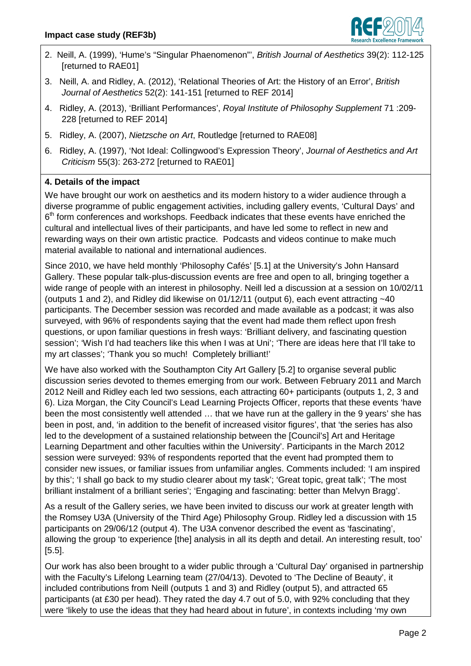

- 2. Neill, A. (1999), 'Hume's "Singular Phaenomenon"', British Journal of Aesthetics 39(2): 112-125 [returned to RAE01]
- 3. Neill, A. and Ridley, A. (2012), 'Relational Theories of Art: the History of an Error', British Journal of Aesthetics 52(2): 141-151 [returned to REF 2014]
- 4. Ridley, A. (2013), 'Brilliant Performances', Royal Institute of Philosophy Supplement 71 :209- 228 [returned to REF 2014]
- 5. Ridley, A. (2007), Nietzsche on Art, Routledge [returned to RAE08]
- 6. Ridley, A. (1997), 'Not Ideal: Collingwood's Expression Theory', Journal of Aesthetics and Art Criticism 55(3): 263-272 [returned to RAE01]

# **4. Details of the impact**

We have brought our work on aesthetics and its modern history to a wider audience through a diverse programme of public engagement activities, including gallery events, 'Cultural Days' and 6<sup>th</sup> form conferences and workshops. Feedback indicates that these events have enriched the cultural and intellectual lives of their participants, and have led some to reflect in new and rewarding ways on their own artistic practice. Podcasts and videos continue to make much material available to national and international audiences.

Since 2010, we have held monthly 'Philosophy Cafés' [5.1] at the University's John Hansard Gallery. These popular talk-plus-discussion events are free and open to all, bringing together a wide range of people with an interest in philosophy. Neill led a discussion at a session on 10/02/11 (outputs 1 and 2), and Ridley did likewise on 01/12/11 (output 6), each event attracting ~40 participants. The December session was recorded and made available as a podcast; it was also surveyed, with 96% of respondents saying that the event had made them reflect upon fresh questions, or upon familiar questions in fresh ways: 'Brilliant delivery, and fascinating question session'; 'Wish I'd had teachers like this when I was at Uni'; 'There are ideas here that I'll take to my art classes'; 'Thank you so much! Completely brilliant!'

We have also worked with the Southampton City Art Gallery [5.2] to organise several public discussion series devoted to themes emerging from our work. Between February 2011 and March 2012 Neill and Ridley each led two sessions, each attracting 60+ participants (outputs 1, 2, 3 and 6). Liza Morgan, the City Council's Lead Learning Projects Officer, reports that these events 'have been the most consistently well attended … that we have run at the gallery in the 9 years' she has been in post, and, 'in addition to the benefit of increased visitor figures', that 'the series has also led to the development of a sustained relationship between the [Council's] Art and Heritage Learning Department and other faculties within the University'. Participants in the March 2012 session were surveyed: 93% of respondents reported that the event had prompted them to consider new issues, or familiar issues from unfamiliar angles. Comments included: 'I am inspired by this'; 'I shall go back to my studio clearer about my task'; 'Great topic, great talk'; 'The most brilliant instalment of a brilliant series'; 'Engaging and fascinating: better than Melvyn Bragg'.

As a result of the Gallery series, we have been invited to discuss our work at greater length with the Romsey U3A (University of the Third Age) Philosophy Group. Ridley led a discussion with 15 participants on 29/06/12 (output 4). The U3A convenor described the event as 'fascinating', allowing the group 'to experience [the] analysis in all its depth and detail. An interesting result, too' [5.5].

Our work has also been brought to a wider public through a 'Cultural Day' organised in partnership with the Faculty's Lifelong Learning team (27/04/13). Devoted to 'The Decline of Beauty', it included contributions from Neill (outputs 1 and 3) and Ridley (output 5), and attracted 65 participants (at £30 per head). They rated the day 4.7 out of 5.0, with 92% concluding that they were 'likely to use the ideas that they had heard about in future', in contexts including 'my own